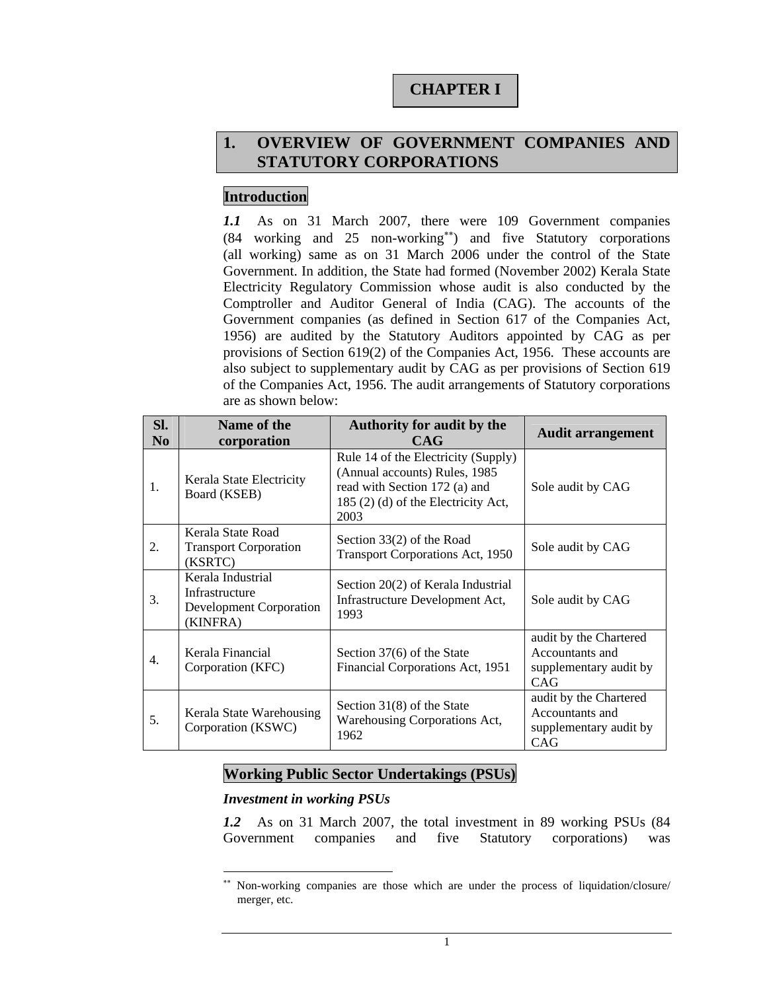# **CHAPTER I**

# **1. OVERVIEW OF GOVERNMENT COMPANIES AND STATUTORY CORPORATIONS**

# **Introduction**

*1.1* As on 31 March 2007, there were 109 Government companies (84 working and 25 non-working∗∗) and five Statutory corporations (all working) same as on 31 March 2006 under the control of the State Government. In addition, the State had formed (November 2002) Kerala State Electricity Regulatory Commission whose audit is also conducted by the Comptroller and Auditor General of India (CAG). The accounts of the Government companies (as defined in Section 617 of the Companies Act, 1956) are audited by the Statutory Auditors appointed by CAG as per provisions of Section 619(2) of the Companies Act, 1956. These accounts are also subject to supplementary audit by CAG as per provisions of Section 619 of the Companies Act, 1956. The audit arrangements of Statutory corporations are as shown below:

| SI.<br>N <sub>0</sub> | Name of the<br>corporation                                                        | <b>Authority for audit by the</b><br><b>CAG</b>                                                                                                      | <b>Audit arrangement</b>                                                   |
|-----------------------|-----------------------------------------------------------------------------------|------------------------------------------------------------------------------------------------------------------------------------------------------|----------------------------------------------------------------------------|
| 1.                    | Kerala State Electricity<br>Board (KSEB)                                          | Rule 14 of the Electricity (Supply)<br>(Annual accounts) Rules, 1985<br>read with Section 172 (a) and<br>185 (2) (d) of the Electricity Act,<br>2003 | Sole audit by CAG                                                          |
| 2.                    | Kerala State Road<br><b>Transport Corporation</b><br>(KSRTC)                      | Section 33(2) of the Road<br><b>Transport Corporations Act, 1950</b>                                                                                 | Sole audit by CAG                                                          |
| 3.                    | Kerala Industrial<br>Infrastructure<br><b>Development Corporation</b><br>(KINFRA) | Section 20(2) of Kerala Industrial<br>Infrastructure Development Act,<br>1993                                                                        | Sole audit by CAG                                                          |
| 4.                    | Kerala Financial<br>Corporation (KFC)                                             | Section 37(6) of the State<br>Financial Corporations Act, 1951                                                                                       | audit by the Chartered<br>Accountants and<br>supplementary audit by<br>CAG |
| 5.                    | Kerala State Warehousing<br>Corporation (KSWC)                                    | Section 31(8) of the State<br>Warehousing Corporations Act,<br>1962                                                                                  | audit by the Chartered<br>Accountants and<br>supplementary audit by<br>CAG |

# **Working Public Sector Undertakings (PSUs)**

### *Investment in working PSUs*

l

*1.2* As on 31 March 2007, the total investment in 89 working PSUs (84 Government companies and five Statutory corporations) was

Non-working companies are those which are under the process of liquidation/closure/ merger, etc.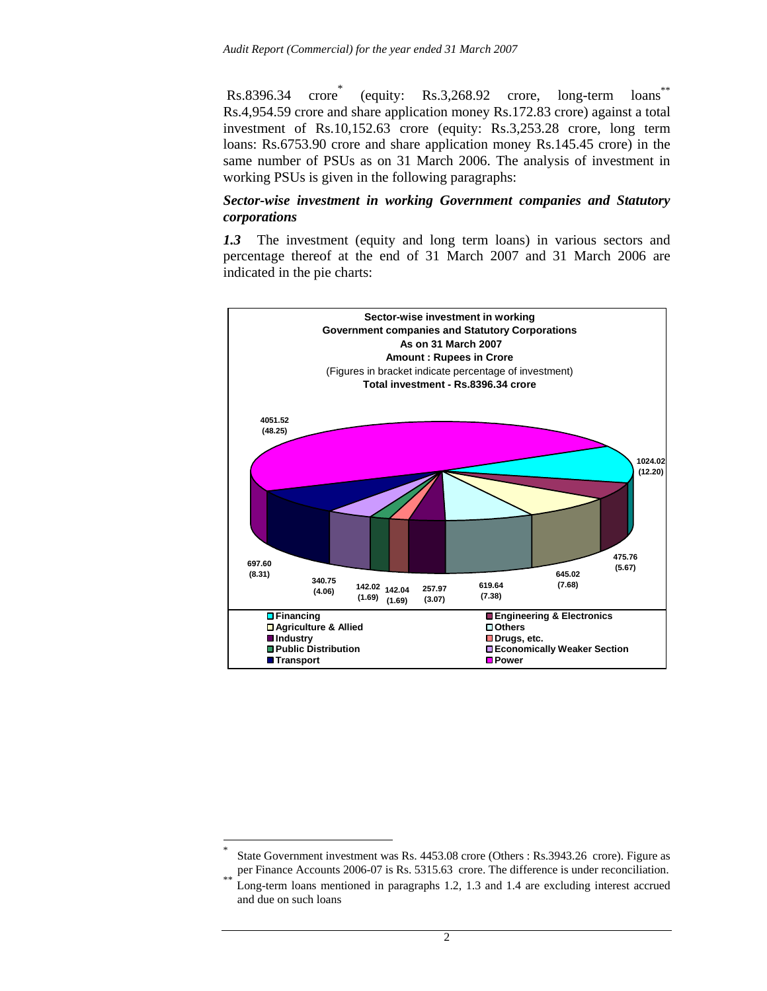$Rs.8396.34$  (equity: Rs.3,268.92 crore, long-term loans\*\* Rs.4,954.59 crore and share application money Rs.172.83 crore) against a total investment of Rs.10,152.63 crore (equity: Rs.3,253.28 crore, long term loans: Rs.6753.90 crore and share application money Rs.145.45 crore) in the same number of PSUs as on 31 March 2006. The analysis of investment in working PSUs is given in the following paragraphs:

#### *Sector-wise investment in working Government companies and Statutory corporations*

*1.3* The investment (equity and long term loans) in various sectors and percentage thereof at the end of 31 March 2007 and 31 March 2006 are indicated in the pie charts:



 $\overline{a}$ 

<sup>\*</sup> State Government investment was Rs. 4453.08 crore (Others : Rs.3943.26 crore). Figure as

per Finance Accounts 2006-07 is Rs. 5315.63 crore. The difference is under reconciliation.<br>Long-term loans mentioned in paragraphs 1.2, 1.3 and 1.4 are excluding interest accrued and due on such loans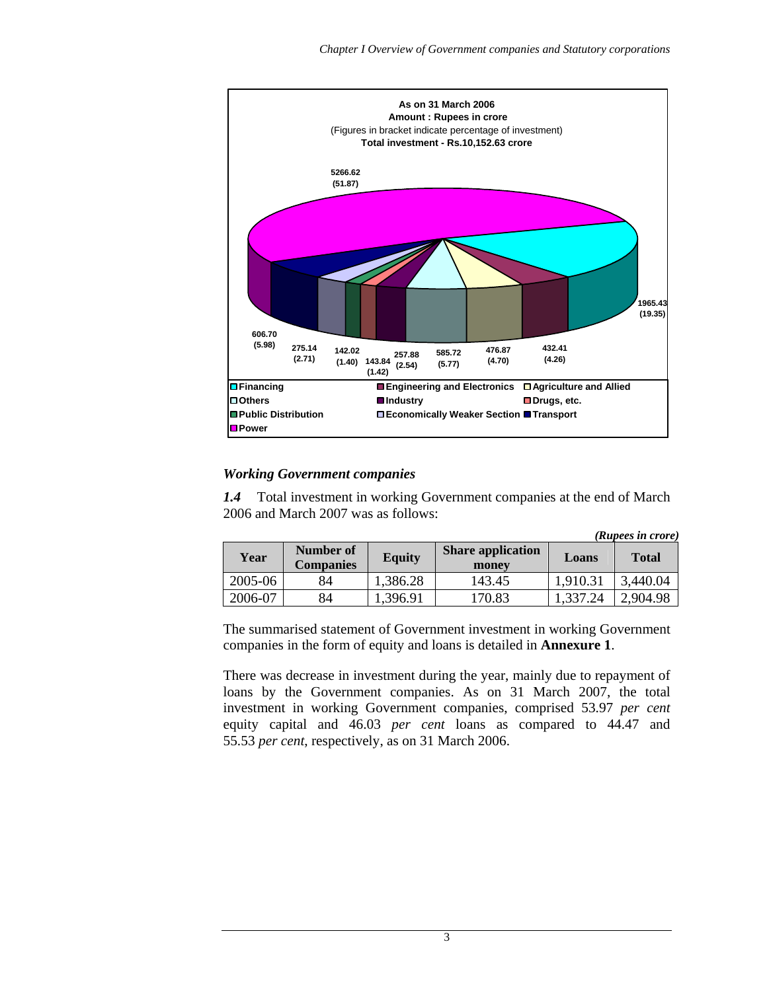

#### *Working Government companies*

*1.4* Total investment in working Government companies at the end of March 2006 and March 2007 was as follows:

|  |  | (Rupees in crore) |
|--|--|-------------------|
|  |  |                   |

| Year    | Number of<br><b>Companies</b> | <b>Equity</b> | <b>Share application</b><br>money | Loans    | <b>Total</b> |
|---------|-------------------------------|---------------|-----------------------------------|----------|--------------|
| 2005-06 | 84                            | 1,386.28      | 143.45                            | 1,910.31 | 3,440.04     |
| 2006-07 | 84                            | 1,396.91      | 170.83                            | 1,337.24 | 2,904.98     |

The summarised statement of Government investment in working Government companies in the form of equity and loans is detailed in **Annexure 1**.

There was decrease in investment during the year, mainly due to repayment of loans by the Government companies. As on 31 March 2007, the total investment in working Government companies, comprised 53.97 *per cent* equity capital and 46.03 *per cent* loans as compared to 44.47 and 55.53 *per cent*, respectively, as on 31 March 2006.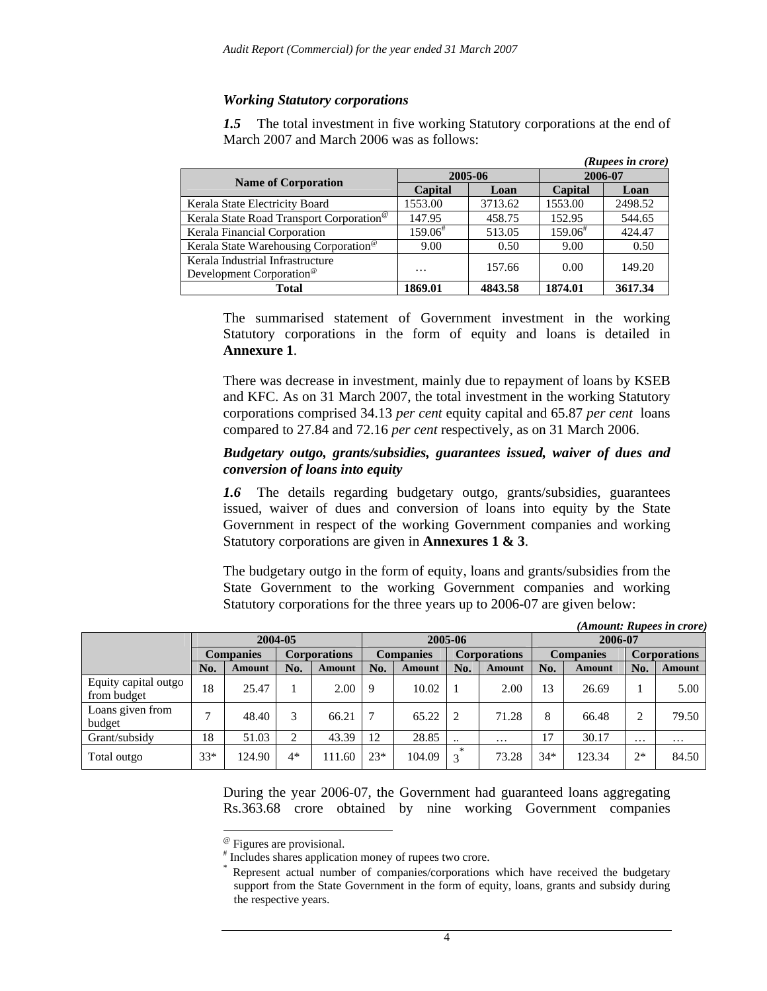### *Working Statutory corporations*

*1.5* The total investment in five working Statutory corporations at the end of March 2007 and March 2006 was as follows:

|                                                                          |               |         |               | (Rupees in crore) |  |
|--------------------------------------------------------------------------|---------------|---------|---------------|-------------------|--|
|                                                                          |               | 2005-06 | 2006-07       |                   |  |
| <b>Name of Corporation</b>                                               | Capital       | Loan    | Capital       | Loan              |  |
| Kerala State Electricity Board                                           | 1553.00       | 3713.62 | 1553.00       | 2498.52           |  |
| Kerala State Road Transport Corporation <sup>®</sup>                     | 147.95        | 458.75  | 152.95        | 544.65            |  |
| Kerala Financial Corporation                                             | $159.06^{\#}$ | 513.05  | $159.06^{\#}$ | 424.47            |  |
| Kerala State Warehousing Corporation <sup>®</sup>                        | 9.00          | 0.50    | 9.00          | 0.50              |  |
| Kerala Industrial Infrastructure<br>Development Corporation <sup>®</sup> | $\cdots$      | 157.66  | 0.00          | 149.20            |  |
| Total                                                                    | 1869.01       | 4843.58 | 1874.01       | 3617.34           |  |

The summarised statement of Government investment in the working Statutory corporations in the form of equity and loans is detailed in **Annexure 1**.

There was decrease in investment, mainly due to repayment of loans by KSEB and KFC. As on 31 March 2007, the total investment in the working Statutory corporations comprised 34.13 *per cent* equity capital and 65.87 *per cent* loans compared to 27.84 and 72.16 *per cent* respectively, as on 31 March 2006.

#### *Budgetary outgo, grants/subsidies, guarantees issued, waiver of dues and conversion of loans into equity*

*1.6* The details regarding budgetary outgo, grants/subsidies, guarantees issued, waiver of dues and conversion of loans into equity by the State Government in respect of the working Government companies and working Statutory corporations are given in **Annexures 1 & 3**.

The budgetary outgo in the form of equity, loans and grants/subsidies from the State Government to the working Government companies and working Statutory corporations for the three years up to 2006-07 are given below:

|                                     |       |                  |         |                     |       |                  |           |                     |                  |         |                     | (Amount: Rupees in crore) |
|-------------------------------------|-------|------------------|---------|---------------------|-------|------------------|-----------|---------------------|------------------|---------|---------------------|---------------------------|
|                                     |       |                  | 2004-05 |                     |       |                  | 2005-06   |                     |                  | 2006-07 |                     |                           |
|                                     |       | <b>Companies</b> |         | <b>Corporations</b> |       | <b>Companies</b> |           | <b>Corporations</b> | <b>Companies</b> |         | <b>Corporations</b> |                           |
|                                     | No.   | Amount           | No.     | Amount              | No.   | Amount           | No.       | Amount              | No.              | Amount  | No.                 | Amount                    |
| Equity capital outgo<br>from budget | 18    | 25.47            |         | 2.00                | 9     | 10.02            |           | 2.00                | 13               | 26.69   |                     | 5.00                      |
| Loans given from<br>budget          | ⇁     | 48.40            | 3       | 66.21               |       | 65.22            | 2         | 71.28               | 8                | 66.48   | $\overline{2}$      | 79.50                     |
| Grant/subsidy                       | 18    | 51.03            | ◠       | 43.39               | 12    | 28.85            | $\cdot$ . | $\cdots$            | 17               | 30.17   | $\cdots$            | $\cdots$                  |
| Total outgo                         | $33*$ | 124.90           | $4*$    | 111.60              | $23*$ | 104.09           | $\ast$    | 73.28               | $34*$            | 123.34  | $2*$                | 84.50                     |

During the year 2006-07, the Government had guaranteed loans aggregating Rs.363.68 crore obtained by nine working Government companies

<sup>@</sup> Figures are provisional.

 $\overline{a}$ 

<sup>#</sup> Includes shares application money of rupees two crore.

<sup>\*</sup> Represent actual number of companies/corporations which have received the budgetary support from the State Government in the form of equity, loans, grants and subsidy during the respective years.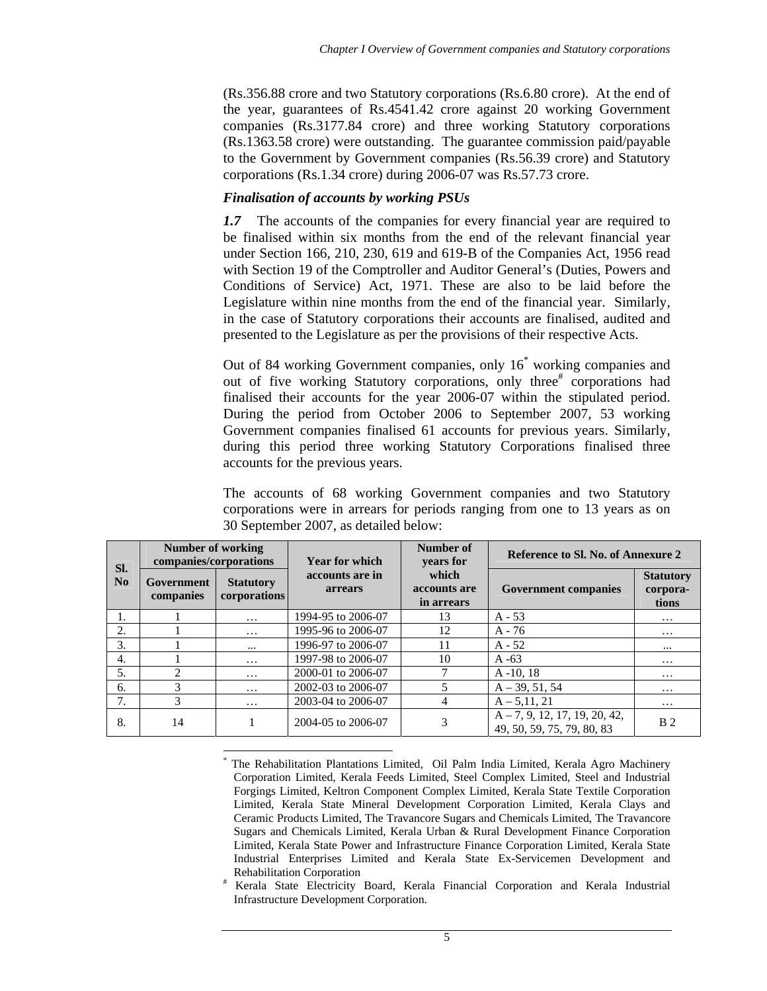(Rs.356.88 crore and two Statutory corporations (Rs.6.80 crore). At the end of the year, guarantees of Rs.4541.42 crore against 20 working Government companies (Rs.3177.84 crore) and three working Statutory corporations (Rs.1363.58 crore) were outstanding. The guarantee commission paid/payable to the Government by Government companies (Rs.56.39 crore) and Statutory corporations (Rs.1.34 crore) during 2006-07 was Rs.57.73 crore.

### *Finalisation of accounts by working PSUs*

*1.7* The accounts of the companies for every financial year are required to be finalised within six months from the end of the relevant financial year under Section 166, 210, 230, 619 and 619-B of the Companies Act, 1956 read with Section 19 of the Comptroller and Auditor General's (Duties, Powers and Conditions of Service) Act, 1971. These are also to be laid before the Legislature within nine months from the end of the financial year. Similarly, in the case of Statutory corporations their accounts are finalised, audited and presented to the Legislature as per the provisions of their respective Acts.

Out of 84 working Government companies, only 16\* working companies and out of five working Statutory corporations, only three<sup>#</sup> corporations had finalised their accounts for the year 2006-07 within the stipulated period. During the period from October 2006 to September 2007, 53 working Government companies finalised 61 accounts for previous years. Similarly, during this period three working Statutory Corporations finalised three accounts for the previous years.

The accounts of 68 working Government companies and two Statutory corporations were in arrears for periods ranging from one to 13 years as on 30 September 2007, as detailed below:

| SI.       | <b>Number of working</b><br>companies/corporations |                                  | Year for which             | Number of<br>years for              | Reference to Sl. No. of Annexure 2                            |                                       |  |
|-----------|----------------------------------------------------|----------------------------------|----------------------------|-------------------------------------|---------------------------------------------------------------|---------------------------------------|--|
| <b>No</b> | Government<br>companies                            | <b>Statutory</b><br>corporations | accounts are in<br>arrears | which<br>accounts are<br>in arrears | <b>Government companies</b>                                   | <b>Statutory</b><br>corpora-<br>tions |  |
|           |                                                    | $\cdots$                         | 1994-95 to 2006-07         | 13                                  | $A - 53$                                                      | $\cdots$                              |  |
| 2.        |                                                    | $\cdots$                         | 1995-96 to 2006-07         | 12                                  | $A - 76$                                                      | $\cdots$                              |  |
| 3.        |                                                    |                                  | 1996-97 to 2006-07         | 11                                  | $A - 52$                                                      | $\cdots$                              |  |
| 4.        |                                                    | $\cdots$                         | 1997-98 to 2006-07         | 10                                  | $A - 63$                                                      | $\cdots$                              |  |
| 5.        | 2                                                  | $\cdots$                         | 2000-01 to 2006-07         |                                     | $A - 10.18$                                                   | $\cdot\cdot\cdot$                     |  |
| 6.        | 3                                                  | $\cdots$                         | 2002-03 to 2006-07         | 5                                   | $A - 39, 51, 54$                                              | $\cdots$                              |  |
| 7.        | 3                                                  | $\cdots$                         | 2003-04 to 2006-07         | 4                                   | $A - 5, 11, 21$                                               | $\cdots$                              |  |
| 8.        | 14                                                 |                                  | 2004-05 to 2006-07         | 3                                   | $A - 7, 9, 12, 17, 19, 20, 42,$<br>49, 50, 59, 75, 79, 80, 83 | B <sub>2</sub>                        |  |

 $\overline{a}$ \* The Rehabilitation Plantations Limited, Oil Palm India Limited, Kerala Agro Machinery Corporation Limited, Kerala Feeds Limited, Steel Complex Limited, Steel and Industrial Forgings Limited, Keltron Component Complex Limited, Kerala State Textile Corporation Limited, Kerala State Mineral Development Corporation Limited, Kerala Clays and Ceramic Products Limited, The Travancore Sugars and Chemicals Limited, The Travancore Sugars and Chemicals Limited, Kerala Urban & Rural Development Finance Corporation Limited, Kerala State Power and Infrastructure Finance Corporation Limited, Kerala State Industrial Enterprises Limited and Kerala State Ex-Servicemen Development and Rehabilitation Corporation #

Kerala State Electricity Board, Kerala Financial Corporation and Kerala Industrial Infrastructure Development Corporation.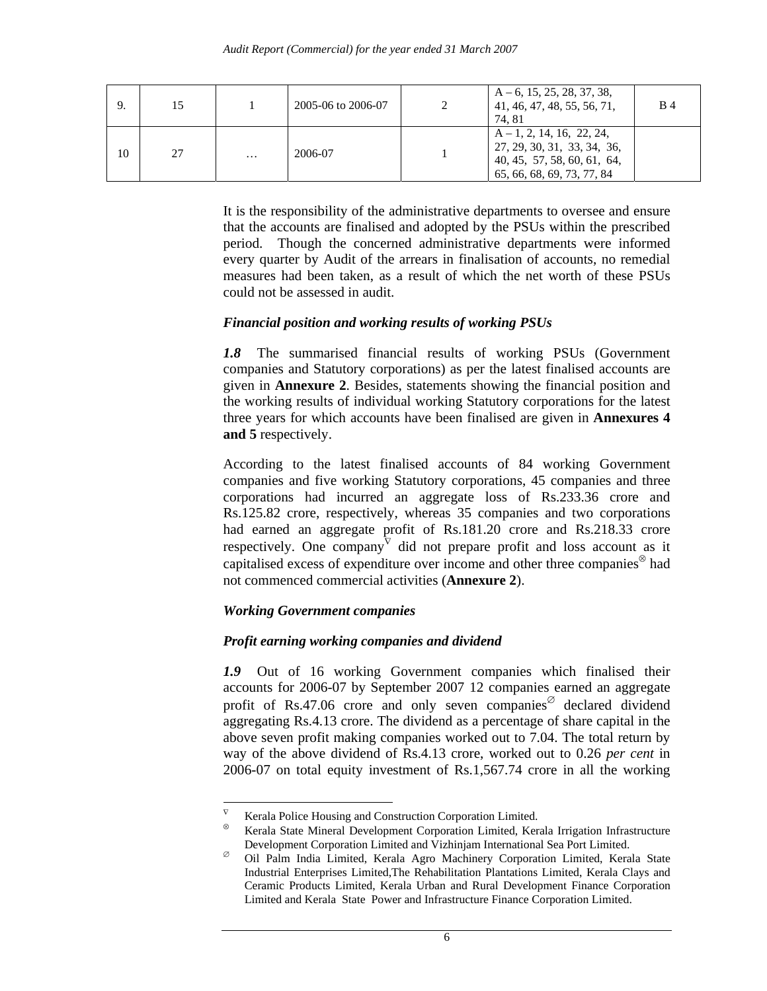|    | 15 |          | 2005-06 to 2006-07 | ∍ | $A-6$ , 15, 25, 28, 37, 38,<br>41, 46, 47, 48, 55, 56, 71,<br>74.81                                                   | <b>B</b> 4 |
|----|----|----------|--------------------|---|-----------------------------------------------------------------------------------------------------------------------|------------|
| 10 | 27 | $\cdots$ | 2006-07            |   | $A-1, 2, 14, 16, 22, 24,$<br>27, 29, 30, 31, 33, 34, 36,<br>40, 45, 57, 58, 60, 61, 64,<br>65, 66, 68, 69, 73, 77, 84 |            |

It is the responsibility of the administrative departments to oversee and ensure that the accounts are finalised and adopted by the PSUs within the prescribed period. Though the concerned administrative departments were informed every quarter by Audit of the arrears in finalisation of accounts, no remedial measures had been taken, as a result of which the net worth of these PSUs could not be assessed in audit.

### *Financial position and working results of working PSUs*

*1.8* The summarised financial results of working PSUs (Government companies and Statutory corporations) as per the latest finalised accounts are given in **Annexure 2**. Besides, statements showing the financial position and the working results of individual working Statutory corporations for the latest three years for which accounts have been finalised are given in **Annexures 4 and 5** respectively.

According to the latest finalised accounts of 84 working Government companies and five working Statutory corporations, 45 companies and three corporations had incurred an aggregate loss of Rs.233.36 crore and Rs.125.82 crore, respectively, whereas 35 companies and two corporations had earned an aggregate profit of Rs.181.20 crore and Rs.218.33 crore respectively. One company did not prepare profit and loss account as it capitalised excess of expenditure over income and other three companies<sup>⊗</sup> had not commenced commercial activities (**Annexure 2**).

# *Working Government companies*

 $\overline{a}$ 

### *Profit earning working companies and dividend*

*1.9* Out of 16 working Government companies which finalised their accounts for 2006-07 by September 2007 12 companies earned an aggregate profit of Rs.47.06 crore and only seven companies<sup> $\circ$ </sup> declared dividend aggregating Rs.4.13 crore. The dividend as a percentage of share capital in the above seven profit making companies worked out to 7.04. The total return by way of the above dividend of Rs.4.13 crore, worked out to 0.26 *per cent* in 2006-07 on total equity investment of Rs.1,567.74 crore in all the working

Kerala Police Housing and Construction Corporation Limited.

<sup>⊗</sup> Kerala State Mineral Development Corporation Limited, Kerala Irrigation Infrastructure Development Corporation Limited and Vizhinjam International Sea Port Limited.

<sup>∅</sup> Oil Palm India Limited, Kerala Agro Machinery Corporation Limited, Kerala State Industrial Enterprises Limited,The Rehabilitation Plantations Limited, Kerala Clays and Ceramic Products Limited, Kerala Urban and Rural Development Finance Corporation Limited and Kerala State Power and Infrastructure Finance Corporation Limited.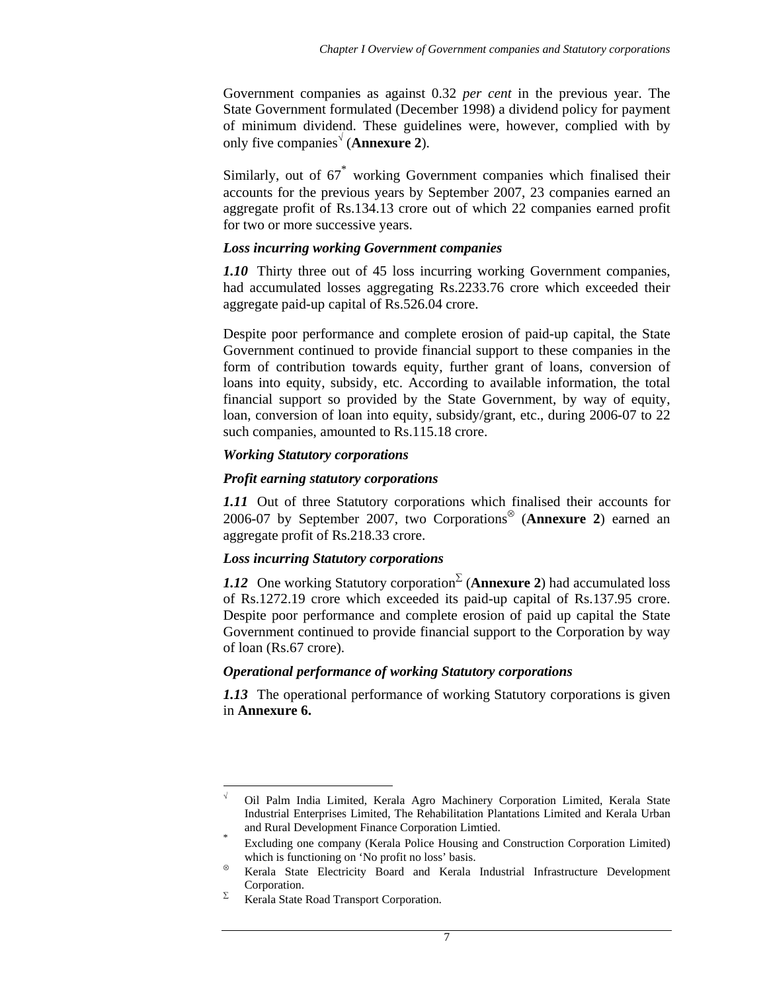Government companies as against 0.32 *per cent* in the previous year. The State Government formulated (December 1998) a dividend policy for payment of minimum dividend. These guidelines were, however, complied with by only five companies<sup>√</sup> (**Annexure 2**).

Similarly, out of  $67^*$  working Government companies which finalised their accounts for the previous years by September 2007, 23 companies earned an aggregate profit of Rs.134.13 crore out of which 22 companies earned profit for two or more successive years.

### *Loss incurring working Government companies*

*1.10* Thirty three out of 45 loss incurring working Government companies, had accumulated losses aggregating Rs.2233.76 crore which exceeded their aggregate paid-up capital of Rs.526.04 crore.

Despite poor performance and complete erosion of paid-up capital, the State Government continued to provide financial support to these companies in the form of contribution towards equity, further grant of loans, conversion of loans into equity, subsidy, etc. According to available information, the total financial support so provided by the State Government, by way of equity, loan, conversion of loan into equity, subsidy/grant, etc., during 2006-07 to 22 such companies, amounted to Rs.115.18 crore.

### *Working Statutory corporations*

### *Profit earning statutory corporations*

*1.11* Out of three Statutory corporations which finalised their accounts for 2006-07 by September 2007, two Corporations<sup>⊗</sup> (**Annexure 2**) earned an aggregate profit of Rs.218.33 crore.

# *Loss incurring Statutory corporations*

*1.12* One working Statutory corporation<sup>∑</sup> (**Annexure 2**) had accumulated loss of Rs.1272.19 crore which exceeded its paid-up capital of Rs.137.95 crore. Despite poor performance and complete erosion of paid up capital the State Government continued to provide financial support to the Corporation by way of loan (Rs.67 crore).

### *Operational performance of working Statutory corporations*

*1.13* The operational performance of working Statutory corporations is given in **Annexure 6.**

 $\overline{a}$ √ Oil Palm India Limited, Kerala Agro Machinery Corporation Limited, Kerala State Industrial Enterprises Limited, The Rehabilitation Plantations Limited and Kerala Urban

and Rural Development Finance Corporation Limtied.<br>Excluding one company (Kerala Police Housing and Construction Corporation Limited) which is functioning on 'No profit no loss' basis.

<sup>⊗</sup> Kerala State Electricity Board and Kerala Industrial Infrastructure Development Corporation.

 $\Sigma$  Kerala State Road Transport Corporation.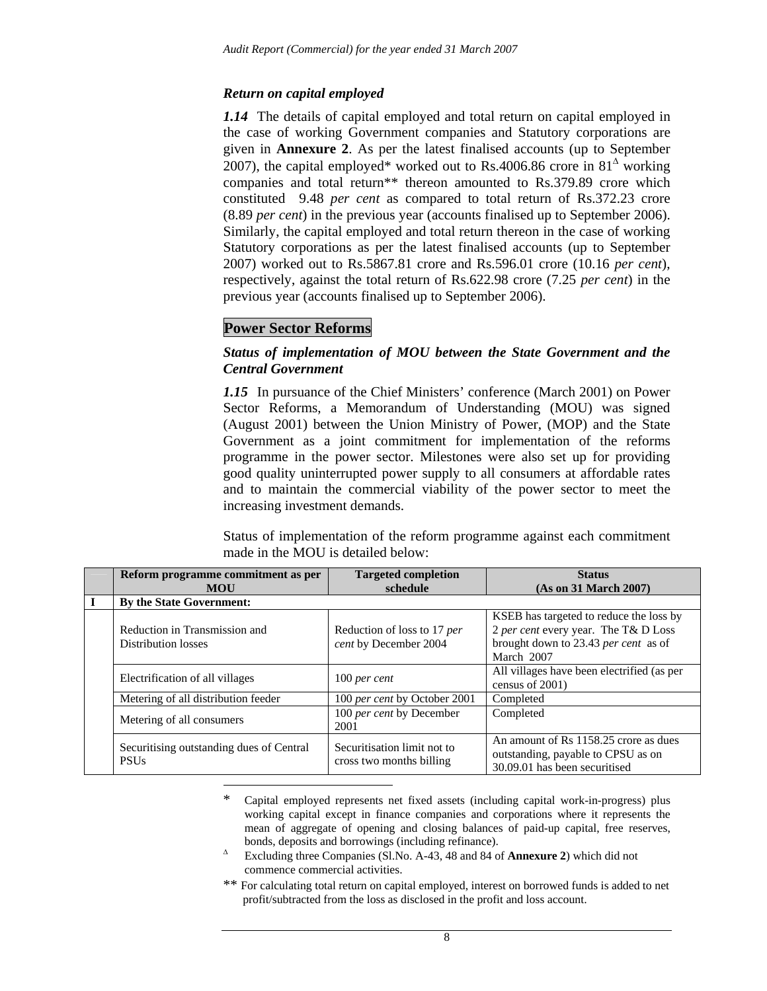### *Return on capital employed*

*1.14* The details of capital employed and total return on capital employed in the case of working Government companies and Statutory corporations are given in **Annexure 2**. As per the latest finalised accounts (up to September 2007), the capital employed\* worked out to Rs.4006.86 crore in  $81^{\circ}$  working companies and total return\*\* thereon amounted to Rs.379.89 crore which constituted 9.48 *per cent* as compared to total return of Rs.372.23 crore (8.89 *per cent*) in the previous year (accounts finalised up to September 2006). Similarly, the capital employed and total return thereon in the case of working Statutory corporations as per the latest finalised accounts (up to September 2007) worked out to Rs.5867.81 crore and Rs.596.01 crore (10.16 *per cent*), respectively, against the total return of Rs.622.98 crore (7.25 *per cent*) in the previous year (accounts finalised up to September 2006).

# **Power Sector Reforms**

### *Status of implementation of MOU between the State Government and the Central Government*

*1.15* In pursuance of the Chief Ministers' conference (March 2001) on Power Sector Reforms, a Memorandum of Understanding (MOU) was signed (August 2001) between the Union Ministry of Power, (MOP) and the State Government as a joint commitment for implementation of the reforms programme in the power sector. Milestones were also set up for providing good quality uninterrupted power supply to all consumers at affordable rates and to maintain the commercial viability of the power sector to meet the increasing investment demands.

Status of implementation of the reform programme against each commitment made in the MOU is detailed below:

| Reform programme commitment as per<br><b>MOU</b>            | <b>Targeted completion</b><br>schedule                  | <b>Status</b><br>(As on 31 March 2007)                                                                                                |
|-------------------------------------------------------------|---------------------------------------------------------|---------------------------------------------------------------------------------------------------------------------------------------|
| By the State Government:                                    |                                                         |                                                                                                                                       |
| Reduction in Transmission and<br><b>Distribution losses</b> | Reduction of loss to 17 per<br>cent by December 2004    | KSEB has targeted to reduce the loss by<br>2 per cent every year. The T& D Loss<br>brought down to 23.43 per cent as of<br>March 2007 |
| Electrification of all villages                             | $100$ per cent                                          | All villages have been electrified (as per<br>census of 2001)                                                                         |
| Metering of all distribution feeder                         | 100 per cent by October 2001                            | Completed                                                                                                                             |
| Metering of all consumers                                   | 100 per cent by December<br>2001                        | Completed                                                                                                                             |
| Securitising outstanding dues of Central<br><b>PSUs</b>     | Securitisation limit not to<br>cross two months billing | An amount of Rs 1158.25 crore as dues<br>outstanding, payable to CPSU as on<br>30.09.01 has been securitised                          |

#### \* Capital employed represents net fixed assets (including capital work-in-progress) plus working capital except in finance companies and corporations where it represents the mean of aggregate of opening and closing balances of paid-up capital, free reserves, bonds, deposits and borrowings (including refinance).

- ∆ Excluding three Companies (Sl.No. A-43, 48 and 84 of **Annexure 2**) which did not commence commercial activities.
- \*\* For calculating total return on capital employed, interest on borrowed funds is added to net profit/subtracted from the loss as disclosed in the profit and loss account.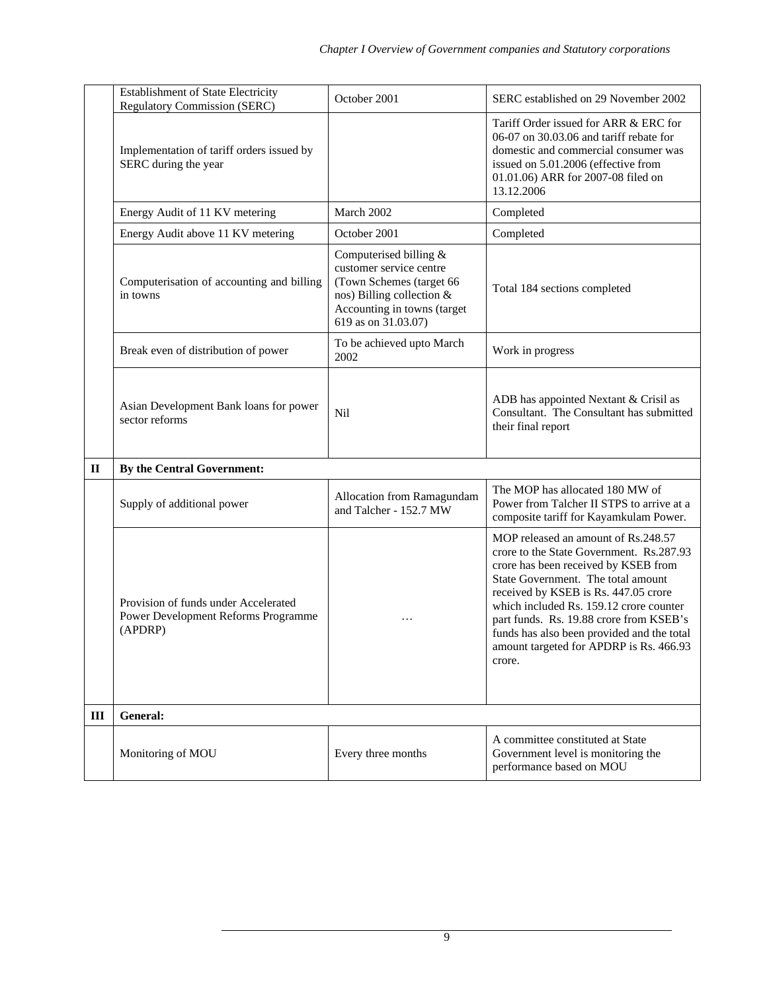|              | <b>Establishment of State Electricity</b><br><b>Regulatory Commission (SERC)</b>       | October 2001                                                                                                                                                     | SERC established on 29 November 2002                                                                                                                                                                                                                                                                                                                                                           |
|--------------|----------------------------------------------------------------------------------------|------------------------------------------------------------------------------------------------------------------------------------------------------------------|------------------------------------------------------------------------------------------------------------------------------------------------------------------------------------------------------------------------------------------------------------------------------------------------------------------------------------------------------------------------------------------------|
|              | Implementation of tariff orders issued by<br>SERC during the year                      |                                                                                                                                                                  | Tariff Order issued for ARR & ERC for<br>06-07 on 30.03.06 and tariff rebate for<br>domestic and commercial consumer was<br>issued on 5.01.2006 (effective from<br>01.01.06) ARR for 2007-08 filed on<br>13.12.2006                                                                                                                                                                            |
|              | Energy Audit of 11 KV metering                                                         | March 2002                                                                                                                                                       | Completed                                                                                                                                                                                                                                                                                                                                                                                      |
|              | Energy Audit above 11 KV metering                                                      | October 2001                                                                                                                                                     | Completed                                                                                                                                                                                                                                                                                                                                                                                      |
|              | Computerisation of accounting and billing<br>in towns                                  | Computerised billing &<br>customer service centre<br>(Town Schemes (target 66<br>nos) Billing collection &<br>Accounting in towns (target<br>619 as on 31.03.07) | Total 184 sections completed                                                                                                                                                                                                                                                                                                                                                                   |
|              | Break even of distribution of power                                                    | To be achieved upto March<br>2002                                                                                                                                | Work in progress                                                                                                                                                                                                                                                                                                                                                                               |
|              | Asian Development Bank loans for power<br>sector reforms                               | Nil                                                                                                                                                              | ADB has appointed Nextant & Crisil as<br>Consultant. The Consultant has submitted<br>their final report                                                                                                                                                                                                                                                                                        |
| $\mathbf{I}$ | By the Central Government:                                                             |                                                                                                                                                                  |                                                                                                                                                                                                                                                                                                                                                                                                |
|              | Supply of additional power                                                             | Allocation from Ramagundam<br>and Talcher - 152.7 MW                                                                                                             | The MOP has allocated 180 MW of<br>Power from Talcher II STPS to arrive at a<br>composite tariff for Kayamkulam Power.                                                                                                                                                                                                                                                                         |
|              | Provision of funds under Accelerated<br>Power Development Reforms Programme<br>(APDRP) | .                                                                                                                                                                | MOP released an amount of Rs.248.57<br>crore to the State Government. Rs.287.93<br>crore has been received by KSEB from<br>State Government. The total amount<br>received by KSEB is Rs. 447.05 crore<br>which included Rs. 159.12 crore counter<br>part funds. Rs. 19.88 crore from KSEB's<br>funds has also been provided and the total<br>amount targeted for APDRP is Rs. 466.93<br>crore. |
| III          | General:                                                                               |                                                                                                                                                                  |                                                                                                                                                                                                                                                                                                                                                                                                |
|              | Monitoring of MOU                                                                      | Every three months                                                                                                                                               | A committee constituted at State<br>Government level is monitoring the<br>performance based on MOU                                                                                                                                                                                                                                                                                             |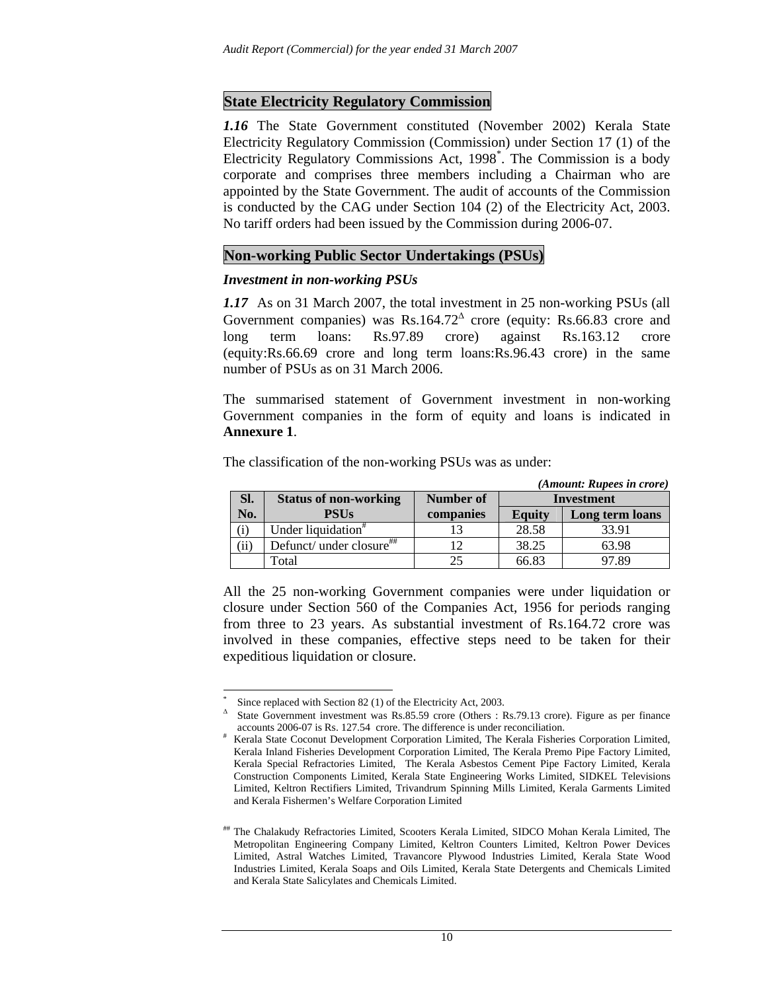### **State Electricity Regulatory Commission**

*1.16* The State Government constituted (November 2002) Kerala State Electricity Regulatory Commission (Commission) under Section 17 (1) of the Electricity Regulatory Commissions Act, 1998\* . The Commission is a body corporate and comprises three members including a Chairman who are appointed by the State Government. The audit of accounts of the Commission is conducted by the CAG under Section 104 (2) of the Electricity Act, 2003. No tariff orders had been issued by the Commission during 2006-07.

#### **Non-working Public Sector Undertakings (PSUs)**

#### *Investment in non-working PSUs*

*1.17* As on 31 March 2007, the total investment in 25 non-working PSUs (all Government companies) was Rs.164.72<sup> $\triangle$ </sup> crore (equity: Rs.66.83 crore and long term loans: Rs.97.89 crore) against Rs.163.12 crore (equity:Rs.66.69 crore and long term loans:Rs.96.43 crore) in the same number of PSUs as on 31 March 2006.

The summarised statement of Government investment in non-working Government companies in the form of equity and loans is indicated in **Annexure 1**.

|                      |                                |           |               | (Amount: Rupees in crore) |  |
|----------------------|--------------------------------|-----------|---------------|---------------------------|--|
| SI.                  | <b>Status of non-working</b>   | Number of | Investment    |                           |  |
| No.                  | <b>PSUs</b>                    | companies | <b>Equity</b> | Long term loans           |  |
| $\rm(i)$             | Under liquidation <sup>#</sup> |           | 28.58         | 33.91                     |  |
| $\overline{\rm(ii)}$ | Defunct/ under closure##       | 12        | 38.25         | 63.98                     |  |
|                      | Total                          | 25        | 66.83         | 97.89                     |  |

The classification of the non-working PSUs was as under:

All the 25 non-working Government companies were under liquidation or closure under Section 560 of the Companies Act, 1956 for periods ranging from three to 23 years. As substantial investment of Rs.164.72 crore was involved in these companies, effective steps need to be taken for their expeditious liquidation or closure.

 $\overline{a}$ \* Since replaced with Section 82 (1) of the Electricity Act, 2003.

<sup>∆</sup> State Government investment was Rs.85.59 crore (Others : Rs.79.13 crore). Figure as per finance accounts 2006-07 is Rs. 127.54 crore. The difference is under reconciliation. #

Kerala State Coconut Development Corporation Limited, The Kerala Fisheries Corporation Limited, Kerala Inland Fisheries Development Corporation Limited, The Kerala Premo Pipe Factory Limited, Kerala Special Refractories Limited, The Kerala Asbestos Cement Pipe Factory Limited, Kerala Construction Components Limited, Kerala State Engineering Works Limited, SIDKEL Televisions Limited, Keltron Rectifiers Limited, Trivandrum Spinning Mills Limited, Kerala Garments Limited and Kerala Fishermen's Welfare Corporation Limited

<sup>##</sup> The Chalakudy Refractories Limited, Scooters Kerala Limited, SIDCO Mohan Kerala Limited, The Metropolitan Engineering Company Limited, Keltron Counters Limited, Keltron Power Devices Limited, Astral Watches Limited, Travancore Plywood Industries Limited, Kerala State Wood Industries Limited, Kerala Soaps and Oils Limited, Kerala State Detergents and Chemicals Limited and Kerala State Salicylates and Chemicals Limited.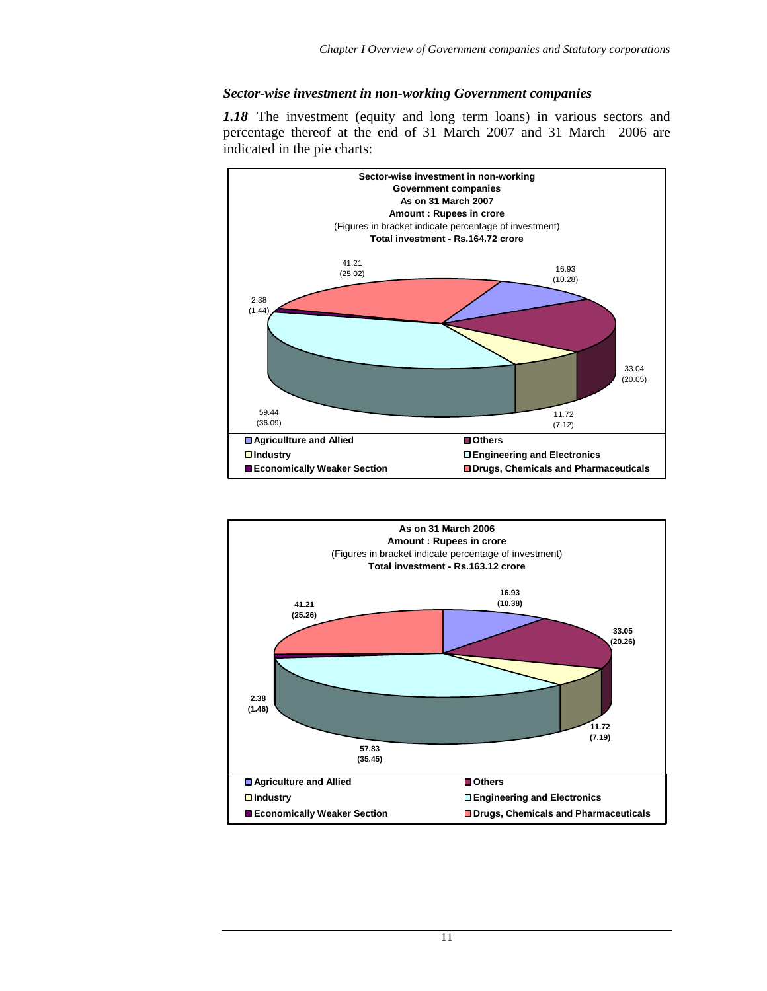#### *Sector-wise investment in non-working Government companies*

*1.18* The investment (equity and long term loans) in various sectors and percentage thereof at the end of 31 March 2007 and 31 March 2006 are indicated in the pie charts:



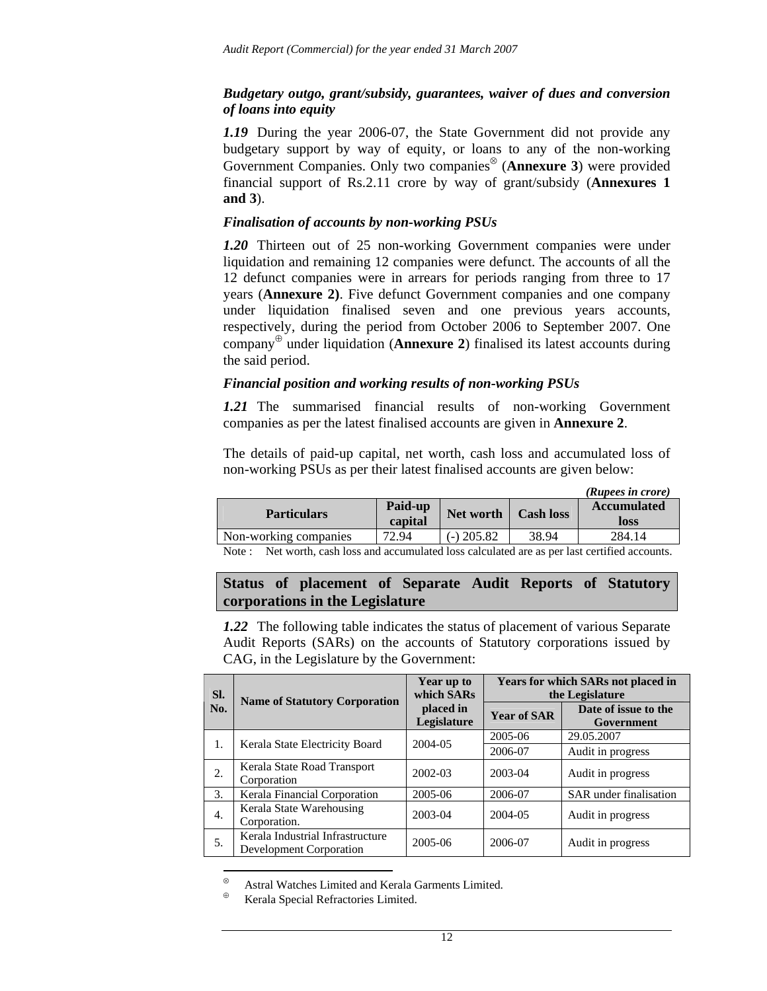### *Budgetary outgo, grant/subsidy, guarantees, waiver of dues and conversion of loans into equity*

*1.19* During the year 2006-07, the State Government did not provide any budgetary support by way of equity, or loans to any of the non-working Government Companies. Only two companies<sup>⊗</sup> (**Annexure 3**) were provided financial support of Rs.2.11 crore by way of grant/subsidy (**Annexures 1 and 3**).

#### *Finalisation of accounts by non-working PSUs*

*1.20* Thirteen out of 25 non-working Government companies were under liquidation and remaining 12 companies were defunct. The accounts of all the 12 defunct companies were in arrears for periods ranging from three to 17 years (**Annexure 2)**. Five defunct Government companies and one company under liquidation finalised seven and one previous years accounts, respectively, during the period from October 2006 to September 2007. One company<sup>⊕</sup> under liquidation (**Annexure 2**) finalised its latest accounts during the said period.

#### *Financial position and working results of non-working PSUs*

*1.21* The summarised financial results of non-working Government companies as per the latest finalised accounts are given in **Annexure 2**.

The details of paid-up capital, net worth, cash loss and accumulated loss of non-working PSUs as per their latest finalised accounts are given below:

|                       |                      |              |                  | (Rupees in crore)  |
|-----------------------|----------------------|--------------|------------------|--------------------|
| <b>Particulars</b>    | Paid-up<br>Net worth |              | <b>Cash loss</b> | <b>Accumulated</b> |
|                       | capital              |              |                  | <b>loss</b>        |
| Non-working companies | 72.94                | $(-)$ 205.82 | 38.94            | 284.14             |

Note : Net worth, cash loss and accumulated loss calculated are as per last certified accounts.

### **Status of placement of Separate Audit Reports of Statutory corporations in the Legislature**

*1.22* The following table indicates the status of placement of various Separate Audit Reports (SARs) on the accounts of Statutory corporations issued by CAG, in the Legislature by the Government:

| SI. |                                                             | Year up to<br>which SARs | <b>Years for which SARs not placed in</b><br>the Legislature |                                    |  |  |
|-----|-------------------------------------------------------------|--------------------------|--------------------------------------------------------------|------------------------------------|--|--|
| No. | <b>Name of Statutory Corporation</b>                        | placed in<br>Legislature | <b>Year of SAR</b>                                           | Date of issue to the<br>Government |  |  |
| 1.  |                                                             | 2004-05                  | 2005-06                                                      | 29.05.2007                         |  |  |
|     | Kerala State Electricity Board                              |                          | 2006-07                                                      | Audit in progress                  |  |  |
| 2.  | Kerala State Road Transport                                 | 2002-03                  | 2003-04                                                      | Audit in progress                  |  |  |
|     | Corporation                                                 |                          |                                                              |                                    |  |  |
| 3.  | Kerala Financial Corporation                                | 2005-06                  | 2006-07                                                      | SAR under finalisation             |  |  |
| 4.  | Kerala State Warehousing<br>Corporation.                    | 2003-04                  | 2004-05                                                      | Audit in progress                  |  |  |
| 5.  | Kerala Industrial Infrastructure<br>Development Corporation | 2005-06                  | 2006-07                                                      | Audit in progress                  |  |  |

<sup>⊕</sup> Kerala Special Refractories Limited.

 $\overline{a}$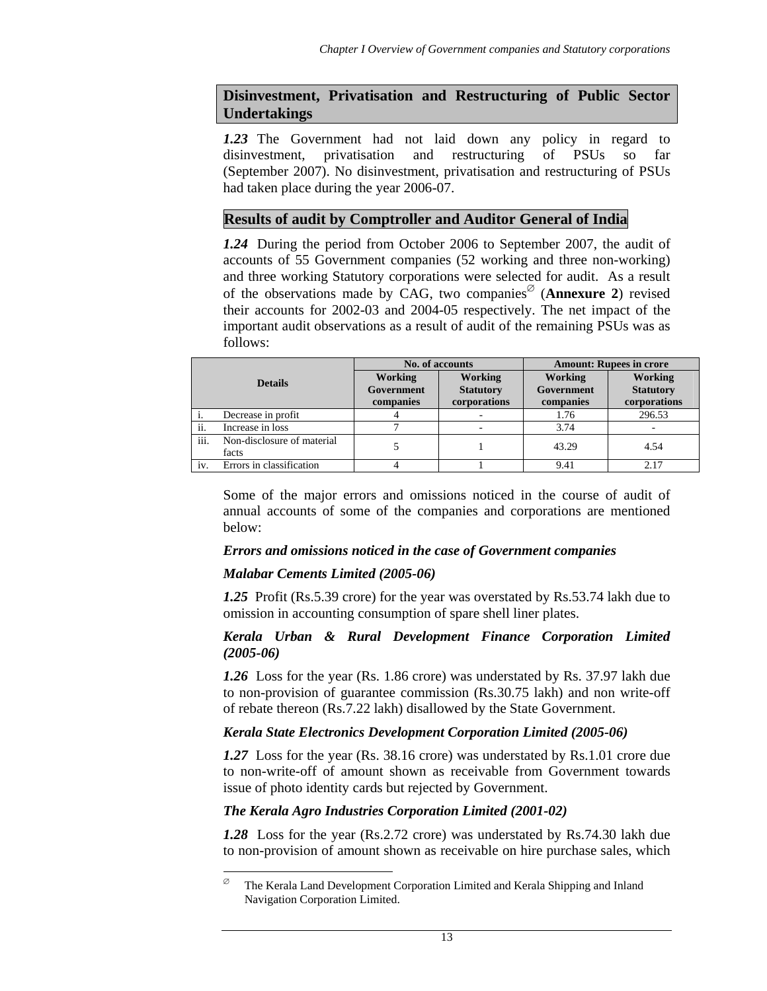## **Disinvestment, Privatisation and Restructuring of Public Sector Undertakings**

*1.23* The Government had not laid down any policy in regard to disinvestment, privatisation and restructuring of PSUs so far (September 2007). No disinvestment, privatisation and restructuring of PSUs had taken place during the year 2006-07.

## **Results of audit by Comptroller and Auditor General of India**

*1.24* During the period from October 2006 to September 2007, the audit of accounts of 55 Government companies (52 working and three non-working) and three working Statutory corporations were selected for audit. As a result of the observations made by CAG, two companies<sup> $\varnothing$ </sup> (**Annexure 2**) revised their accounts for 2002-03 and 2004-05 respectively. The net impact of the important audit observations as a result of audit of the remaining PSUs was as follows:

| <b>Details</b> |                                     | No. of accounts                           |                                                    | <b>Amount: Rupees in crore</b>     |                                                    |
|----------------|-------------------------------------|-------------------------------------------|----------------------------------------------------|------------------------------------|----------------------------------------------------|
|                |                                     | <b>Working</b><br>Government<br>companies | <b>Working</b><br><b>Statutory</b><br>corporations | Working<br>Government<br>companies | <b>Working</b><br><b>Statutory</b><br>corporations |
|                | Decrease in profit                  |                                           |                                                    | 1.76                               | 296.53                                             |
| ii.            | Increase in loss                    |                                           |                                                    | 3.74                               |                                                    |
| iii.           | Non-disclosure of material<br>facts |                                           |                                                    | 43.29                              | 4.54                                               |
| iv.            | Errors in classification            |                                           |                                                    | 9.41                               | 2.17                                               |

Some of the major errors and omissions noticed in the course of audit of annual accounts of some of the companies and corporations are mentioned below:

### *Errors and omissions noticed in the case of Government companies*

### *Malabar Cements Limited (2005-06)*

 $\overline{a}$ 

*1.25* Profit (Rs.5.39 crore) for the year was overstated by Rs.53.74 lakh due to omission in accounting consumption of spare shell liner plates.

#### *Kerala Urban & Rural Development Finance Corporation Limited (2005-06)*

*1.26* Loss for the year (Rs. 1.86 crore) was understated by Rs. 37.97 lakh due to non-provision of guarantee commission (Rs.30.75 lakh) and non write-off of rebate thereon (Rs.7.22 lakh) disallowed by the State Government.

#### *Kerala State Electronics Development Corporation Limited (2005-06)*

*1.27* Loss for the year (Rs. 38.16 crore) was understated by Rs.1.01 crore due to non-write-off of amount shown as receivable from Government towards issue of photo identity cards but rejected by Government.

### *The Kerala Agro Industries Corporation Limited (2001-02)*

*1.28* Loss for the year (Rs.2.72 crore) was understated by Rs.74.30 lakh due to non-provision of amount shown as receivable on hire purchase sales, which

 $\%$  The Kerala Land Development Corporation Limited and Kerala Shipping and Inland Navigation Corporation Limited.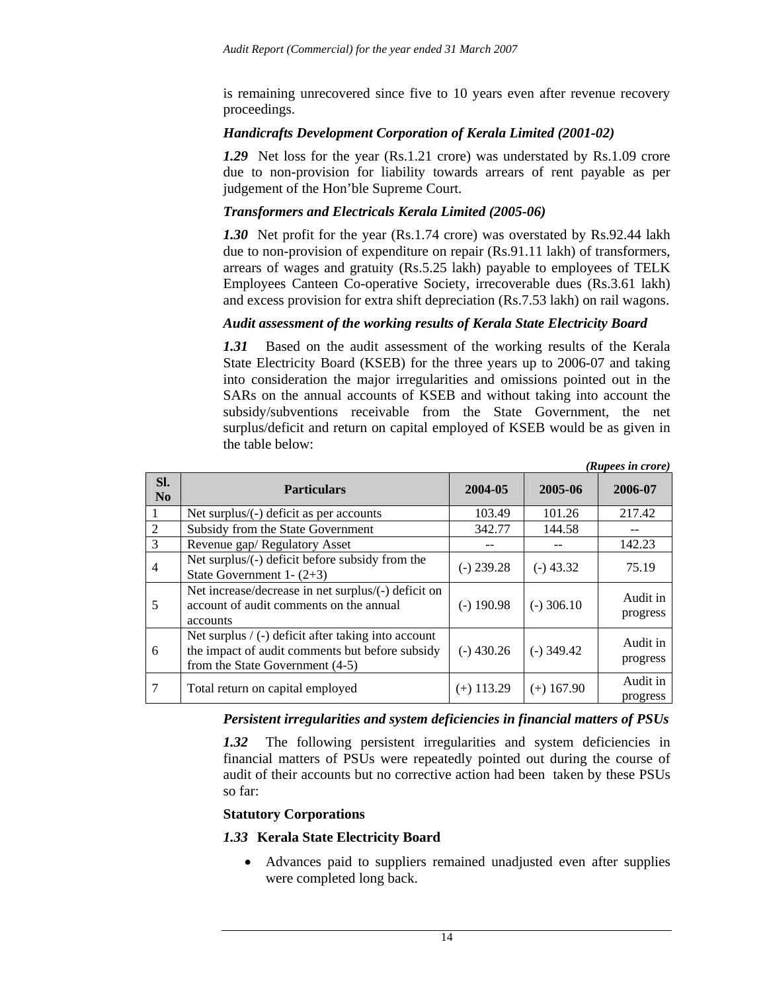is remaining unrecovered since five to 10 years even after revenue recovery proceedings.

#### *Handicrafts Development Corporation of Kerala Limited (2001-02)*

*1.29* Net loss for the year (Rs.1.21 crore) was understated by Rs.1.09 crore due to non-provision for liability towards arrears of rent payable as per judgement of the Hon'ble Supreme Court.

### *Transformers and Electricals Kerala Limited (2005-06)*

*1.30* Net profit for the year (Rs.1.74 crore) was overstated by Rs.92.44 lakh due to non-provision of expenditure on repair (Rs.91.11 lakh) of transformers, arrears of wages and gratuity (Rs.5.25 lakh) payable to employees of TELK Employees Canteen Co-operative Society, irrecoverable dues (Rs.3.61 lakh) and excess provision for extra shift depreciation (Rs.7.53 lakh) on rail wagons.

#### *Audit assessment of the working results of Kerala State Electricity Board*

*1.31* Based on the audit assessment of the working results of the Kerala State Electricity Board (KSEB) for the three years up to 2006-07 and taking into consideration the major irregularities and omissions pointed out in the SARs on the annual accounts of KSEB and without taking into account the subsidy/subventions receivable from the State Government, the net surplus/deficit and return on capital employed of KSEB would be as given in the table below:

|                       |                                                                                                                                                             |              |              | (Rupees in crore)    |
|-----------------------|-------------------------------------------------------------------------------------------------------------------------------------------------------------|--------------|--------------|----------------------|
| Sl.<br>N <sub>0</sub> | <b>Particulars</b>                                                                                                                                          | 2004-05      | 2005-06      | 2006-07              |
|                       | Net surplus/ $(-)$ deficit as per accounts                                                                                                                  | 103.49       | 101.26       | 217.42               |
| 2                     | Subsidy from the State Government                                                                                                                           | 342.77       | 144.58       |                      |
| 3                     | Revenue gap/Regulatory Asset                                                                                                                                |              |              | 142.23               |
| 4                     | Net surplus/(-) deficit before subsidy from the<br>State Government 1- $(2+3)$                                                                              | $(-)$ 239.28 | $(-)$ 43.32  | 75.19                |
| 5                     | Net increase/decrease in net surplus/(-) deficit on<br>account of audit comments on the annual<br>accounts                                                  | (-) 190.98   | $(-)$ 306.10 | Audit in<br>progress |
| 6                     | Net surplus $/$ (-) deficit after taking into account<br>the impact of audit comments but before subsidy<br>$(-)$ 430.26<br>from the State Government (4-5) |              | $(-)$ 349.42 | Audit in<br>progress |
| 7                     | Total return on capital employed                                                                                                                            | $(+)$ 113.29 | $(+)$ 167.90 | Audit in<br>progress |

#### *Persistent irregularities and system deficiencies in financial matters of PSUs*

1.32 The following persistent irregularities and system deficiencies in financial matters of PSUs were repeatedly pointed out during the course of audit of their accounts but no corrective action had been taken by these PSUs so far:

#### **Statutory Corporations**

#### *1.33* **Kerala State Electricity Board**

• Advances paid to suppliers remained unadjusted even after supplies were completed long back.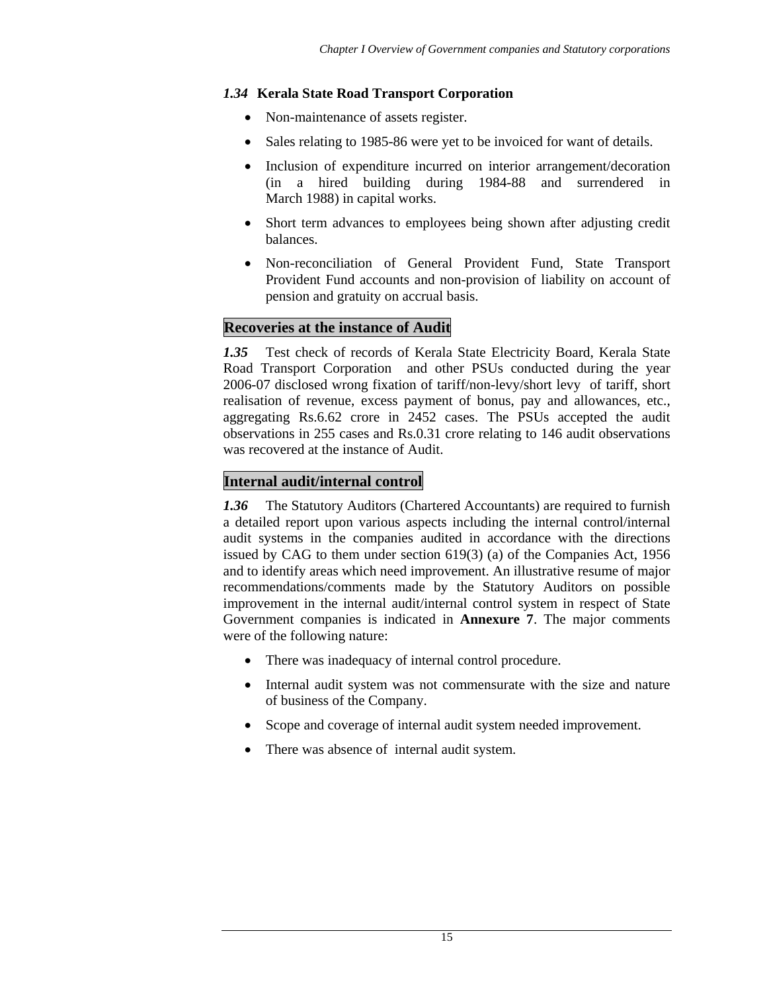### *1.34* **Kerala State Road Transport Corporation**

- Non-maintenance of assets register.
- Sales relating to 1985-86 were yet to be invoiced for want of details.
- Inclusion of expenditure incurred on interior arrangement/decoration (in a hired building during 1984-88 and surrendered in March 1988) in capital works.
- Short term advances to employees being shown after adjusting credit balances.
- Non-reconciliation of General Provident Fund, State Transport Provident Fund accounts and non-provision of liability on account of pension and gratuity on accrual basis.

# **Recoveries at the instance of Audit**

*1.35* Test check of records of Kerala State Electricity Board, Kerala State Road Transport Corporation and other PSUs conducted during the year 2006-07 disclosed wrong fixation of tariff/non-levy/short levy of tariff, short realisation of revenue, excess payment of bonus, pay and allowances, etc., aggregating Rs.6.62 crore in 2452 cases. The PSUs accepted the audit observations in 255 cases and Rs.0.31 crore relating to 146 audit observations was recovered at the instance of Audit.

# **Internal audit/internal control**

*1.36* The Statutory Auditors (Chartered Accountants) are required to furnish a detailed report upon various aspects including the internal control/internal audit systems in the companies audited in accordance with the directions issued by CAG to them under section 619(3) (a) of the Companies Act, 1956 and to identify areas which need improvement. An illustrative resume of major recommendations/comments made by the Statutory Auditors on possible improvement in the internal audit/internal control system in respect of State Government companies is indicated in **Annexure 7**. The major comments were of the following nature:

- There was inadequacy of internal control procedure.
- Internal audit system was not commensurate with the size and nature of business of the Company.
- Scope and coverage of internal audit system needed improvement.
- There was absence of internal audit system.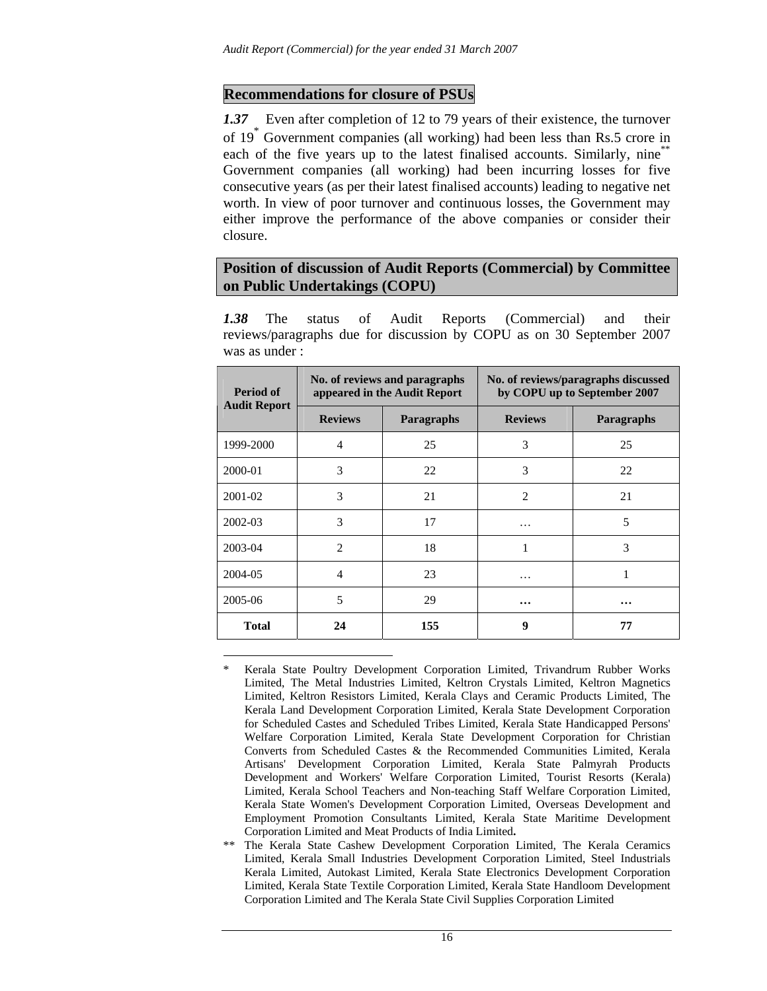### **Recommendations for closure of PSUs**

 $\overline{a}$ 

*1.37* Even after completion of 12 to 79 years of their existence, the turnover of 19\* Government companies (all working) had been less than Rs.5 crore in each of the five years up to the latest finalised accounts. Similarly, nine<sup>\*\*</sup> Government companies (all working) had been incurring losses for five consecutive years (as per their latest finalised accounts) leading to negative net worth. In view of poor turnover and continuous losses, the Government may either improve the performance of the above companies or consider their closure.

### **Position of discussion of Audit Reports (Commercial) by Committee on Public Undertakings (COPU)**

*1.38* The status of Audit Reports (Commercial) and their reviews/paragraphs due for discussion by COPU as on 30 September 2007 was as under :

| Period of<br><b>Audit Report</b> | No. of reviews and paragraphs<br>appeared in the Audit Report |                   | No. of reviews/paragraphs discussed<br>by COPU up to September 2007 |                   |  |
|----------------------------------|---------------------------------------------------------------|-------------------|---------------------------------------------------------------------|-------------------|--|
|                                  | <b>Reviews</b>                                                | <b>Paragraphs</b> | <b>Reviews</b>                                                      | <b>Paragraphs</b> |  |
| 1999-2000                        | $\overline{4}$                                                | 25                | 3                                                                   | 25                |  |
| 2000-01                          | 3                                                             | 22                | 3                                                                   | 22                |  |
| 2001-02                          | 3                                                             | 21                | $\mathcal{D}_{\mathcal{L}}$                                         | 21                |  |
| 2002-03                          | 3                                                             | 17                | .                                                                   | 5                 |  |
| 2003-04                          | $\overline{c}$                                                | 18                |                                                                     | 3                 |  |
| 2004-05                          | 4                                                             | 23                | $\cdots$                                                            |                   |  |
| 2005-06                          | 5                                                             | 29                | $\cdots$                                                            | $\cdots$          |  |
| <b>Total</b>                     | 24                                                            | 155               | 9                                                                   | 77                |  |

<sup>\*</sup> Kerala State Poultry Development Corporation Limited, Trivandrum Rubber Works Limited, The Metal Industries Limited, Keltron Crystals Limited, Keltron Magnetics Limited, Keltron Resistors Limited, Kerala Clays and Ceramic Products Limited, The Kerala Land Development Corporation Limited, Kerala State Development Corporation for Scheduled Castes and Scheduled Tribes Limited, Kerala State Handicapped Persons' Welfare Corporation Limited, Kerala State Development Corporation for Christian Converts from Scheduled Castes & the Recommended Communities Limited, Kerala Artisans' Development Corporation Limited, Kerala State Palmyrah Products Development and Workers' Welfare Corporation Limited, Tourist Resorts (Kerala) Limited, Kerala School Teachers and Non-teaching Staff Welfare Corporation Limited, Kerala State Women's Development Corporation Limited, Overseas Development and Employment Promotion Consultants Limited, Kerala State Maritime Development Corporation Limited and Meat Products of India Limited**.**

The Kerala State Cashew Development Corporation Limited, The Kerala Ceramics Limited, Kerala Small Industries Development Corporation Limited, Steel Industrials Kerala Limited, Autokast Limited, Kerala State Electronics Development Corporation Limited, Kerala State Textile Corporation Limited, Kerala State Handloom Development Corporation Limited and The Kerala State Civil Supplies Corporation Limited